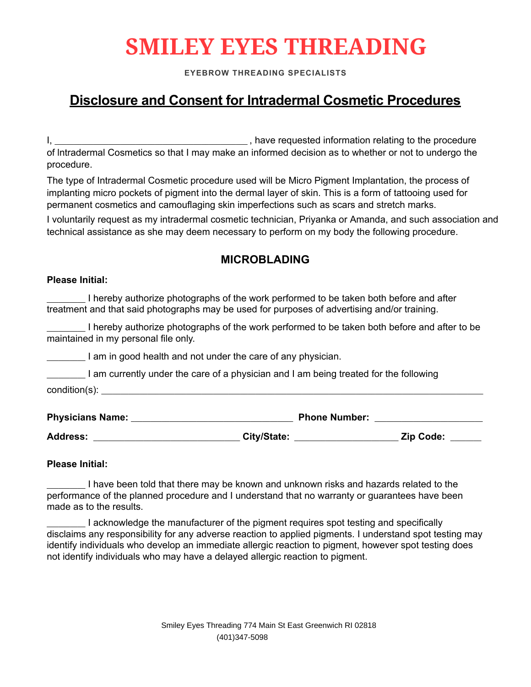# **SMILEY EYES THREADING**

**EYEBROW THREADING SPECIALISTS**

## **Disclosure and Consent for lntradermal Cosmetic Procedures**

I, \_\_\_\_\_\_\_\_\_\_\_\_\_\_\_\_\_\_\_\_\_\_\_\_\_\_\_\_\_\_\_\_\_\_\_\_\_\_\_\_\_\_\_\_\_\_\_\_\_\_ , have requested information relating to the procedure of lntradermal Cosmetics so that I may make an informed decision as to whether or not to undergo the procedure.

The type of Intradermal Cosmetic procedure used will be Micro Pigment Implantation, the process of implanting micro pockets of pigment into the dermal layer of skin. This is a form of tattooing used for permanent cosmetics and camouflaging skin imperfections such as scars and stretch marks.

technical assistance as she may deem necessary to perform on my body the following procedure. I voluntarily request as my intradermal cosmetic technician, Priyanka or Amanda, and such association and

### **MICROBLADING**

#### **Please Initial:**

\_\_\_\_\_\_\_\_\_\_ I hereby authorize photographs of the work performed to be taken both before and after treatment and that said photographs may be used for purposes of advertising and/or training.

\_\_\_\_\_\_\_\_\_\_ I hereby authorize photographs of the work performed to be taken both before and after to be maintained in my personal file only.

I am in good health and not under the care of any physician.

I am currently under the care of a physician and I am being treated for the following  $condition(s)$ :

| <b>Physicians Name:</b> | <b>Phone Number:</b> |  |                  |  |
|-------------------------|----------------------|--|------------------|--|
| <b>Address:</b>         | City/State:          |  | <b>Zip Code:</b> |  |

#### **Please Initial:**

\_\_\_\_\_\_\_\_\_\_ I have been told that there may be known and unknown risks and hazards related to the performance of the planned procedure and I understand that no warranty or guarantees have been made as to the results.

\_\_\_\_\_\_\_\_\_\_ I acknowledge the manufacturer of the pigment requires spot testing and specifically disclaims any responsibility for any adverse reaction to applied pigments. I understand spot testing may identify individuals who develop an immediate allergic reaction to pigment, however spot testing does not identify individuals who may have a delayed allergic reaction to pigment.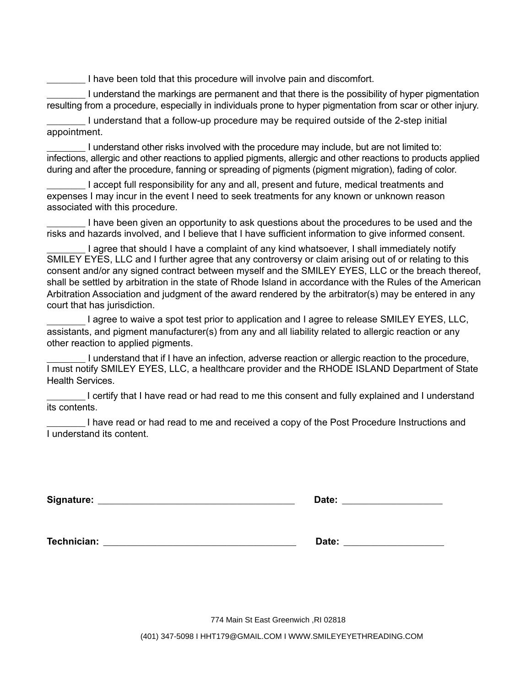I have been told that this procedure will involve pain and discomfort.

\_\_\_\_\_\_\_\_\_\_ I understand the markings are permanent and that there is the possibility of hyper pigmentation resulting from a procedure, especially in individuals prone to hyper pigmentation from scar or other injury.

\_\_\_\_\_\_\_\_\_\_ I understand that a follow-up procedure may be required outside of the 2-step initial appointment.

\_\_\_\_\_\_\_\_\_\_ I understand other risks involved with the procedure may include, but are not limited to: infections, allergic and other reactions to applied pigments, allergic and other reactions to products applied during and after the procedure, fanning or spreading of pigments (pigment migration), fading of color.

\_\_\_\_\_\_\_\_\_\_ I accept full responsibility for any and all, present and future, medical treatments and expenses I may incur in the event I need to seek treatments for any known or unknown reason associated with this procedure.

\_\_\_\_\_\_\_\_\_\_ I have been given an opportunity to ask questions about the procedures to be used and the risks and hazards involved, and I believe that I have sufficient information to give informed consent.

I agree that should I have a complaint of any kind whatsoever. I shall immediately notify Arbitration Association and judgment of the award rendered by the arbitrator(s) may be entered in any court that has jurisdiction. SMILEY EYES, LLC and I further agree that any controversy or claim arising out of or relating to this consent and/or any signed contract between myself and the SMILEY EYES, LLC or the breach thereof, shall be settled by arbitration in the state of Rhode Island in accordance with the Rules of the American

 $\frac{1}{2}$  ,  $\frac{1}{2}$  ,  $\frac{1}{2}$  ,  $\frac{1}{2}$  ,  $\frac{1}{2}$ assistants, and pigment manufacturer(s) from any and all liability related to allergic reaction or any other reaction to applied pigments. I agree to waive a spot test prior to application and I agree to release SMILEY EYES, LLC,

I understand that if I have an infection, adverse reaction or allergic reaction to the procedure, Health Services. I must notify SMILEY EYES, LLC, a healthcare provider and the RHODE ISLAND Department of State

\_\_\_\_\_\_\_\_\_\_ I certify that I have read or had read to me this consent and fully explained and I understand its contents.

\_\_\_\_\_\_\_\_\_\_ I have read or had read to me and received a copy of the Post Procedure Instructions and I understand its content.

| Signature: | Date: |  |
|------------|-------|--|
|            |       |  |

**Technician:** \_\_\_\_\_\_\_\_\_\_\_\_\_\_\_\_\_\_\_\_\_\_\_\_\_\_\_\_\_\_\_\_\_\_\_\_\_\_\_\_\_\_\_\_\_\_\_\_\_\_ **Date:** \_\_\_\_\_\_\_\_\_\_\_\_\_\_\_\_\_\_\_\_\_\_\_\_\_\_

774 Main St East Greenwich ,RI 02818

(401) 347-5098 I HHT179@GMAIL.COM I WWW.SMILEYEYETHREADING.COM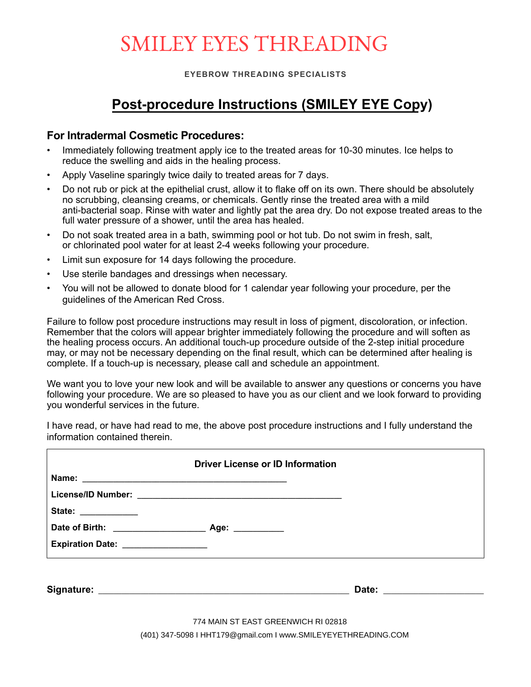## SMILEY EYES THREADING

**EYEBROW THREADING SPECIALISTS**

## **Post-procedure Instructions (SMILEY EYE Copy)**

### **For lntradermal Cosmetic Procedures:**

- Immediately following treatment apply ice to the treated areas for 10-30 minutes. Ice helps to reduce the swelling and aids in the healing process.
- Apply Vaseline sparingly twice daily to treated areas for 7 days.
- Do not rub or pick at the epithelial crust, allow it to flake off on its own. There should be absolutely no scrubbing, cleansing creams, or chemicals. Gently rinse the treated area with a mild anti-bacterial soap. Rinse with water and lightly pat the area dry. Do not expose treated areas to the full water pressure of a shower, until the area has healed.
- Do not soak treated area in a bath, swimming pool or hot tub. Do not swim in fresh, salt, or chlorinated pool water for at least 2-4 weeks following your procedure.
- Limit sun exposure for 14 days following the procedure.
- Use sterile bandages and dressings when necessary.
- You will not be allowed to donate blood for 1 calendar year following your procedure, per the guidelines of the American Red Cross.

Failure to follow post procedure instructions may result in loss of pigment, discoloration, or infection. Remember that the colors will appear brighter immediately following the procedure and will soften as the healing process occurs. An additional touch-up procedure outside of the 2-step initial procedure may, or may not be necessary depending on the final result, which can be determined after healing is complete. If a touch-up is necessary, please call and schedule an appointment.

We want you to love your new look and will be available to answer any questions or concerns you have following your procedure. We are so pleased to have you as our client and we look forward to providing you wonderful services in the future.

I have read, or have had read to me, the above post procedure instructions and I fully understand the information contained therein.

|                                                            | <b>Driver License or ID Information</b> |  |
|------------------------------------------------------------|-----------------------------------------|--|
| State: ____________<br>Expiration Date: __________________ |                                         |  |
|                                                            |                                         |  |

774 MAIN ST EAST GREENWICH RI 02818

(401) 347-5098 I HHT179@gmail.com I www.SMILEYEYETHREADING.COM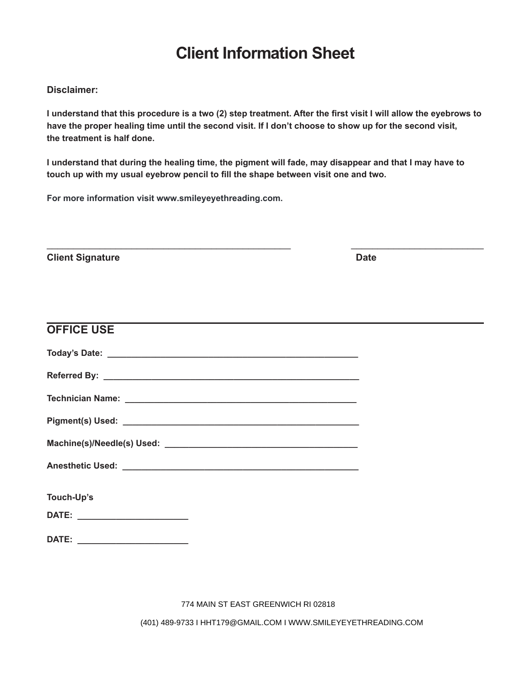## **Client Information Sheet**

#### **Disclaimer:**

**I understand that this procedure is a two (2) step treatment. After the first visit I will allow the eyebrows to have the proper healing time until the second visit. If I don't choose to show up for the second visit, the treatment is half done.** 

 $\frac{1}{2}$  ,  $\frac{1}{2}$  ,  $\frac{1}{2}$  ,  $\frac{1}{2}$  ,  $\frac{1}{2}$  ,  $\frac{1}{2}$  ,  $\frac{1}{2}$  ,  $\frac{1}{2}$  ,  $\frac{1}{2}$  ,  $\frac{1}{2}$  ,  $\frac{1}{2}$  ,  $\frac{1}{2}$  ,  $\frac{1}{2}$  ,  $\frac{1}{2}$  ,  $\frac{1}{2}$  ,  $\frac{1}{2}$  ,  $\frac{1}{2}$  ,  $\frac{1}{2}$  ,  $\frac{1$ 

**I understand that during the healing time, the pigment will fade, may disappear and that I may have to touch up with my usual eyebrow pencil to fill the shape between visit one and two.** 

**For more information visit www.smileyeyethreading.com.**

**Client Signature Date** 

| <b>OFFICE USE</b> |  |
|-------------------|--|
|                   |  |
|                   |  |
|                   |  |
|                   |  |
|                   |  |
|                   |  |
| Touch-Up's        |  |
|                   |  |
|                   |  |

774 MAIN ST EAST GREENWICH RI 02818

(401) 489-9733 I HHT179@GMAIL.COM I WWW.SMILEYEYETHREADING.COM